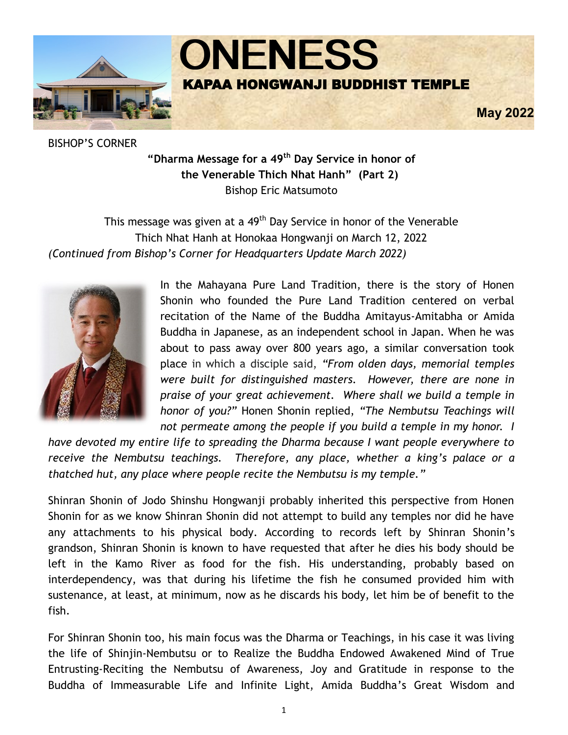

BISHOP'S CORNER

**"Dharma Message for a 49th Day Service in honor of the Venerable Thich Nhat Hanh" (Part 2)** Bishop Eric Matsumoto

This message was given at a 49<sup>th</sup> Day Service in honor of the Venerable Thich Nhat Hanh at Honokaa Hongwanji on March 12, 2022 *(Continued from Bishop's Corner for Headquarters Update March 2022)*



In the Mahayana Pure Land Tradition, there is the story of Honen Shonin who founded the Pure Land Tradition centered on verbal recitation of the Name of the Buddha Amitayus-Amitabha or Amida Buddha in Japanese, as an independent school in Japan. When he was about to pass away over 800 years ago, a similar conversation took place in which a disciple said, *"From olden days, memorial temples were built for distinguished masters. However, there are none in praise of your great achievement. Where shall we build a temple in honor of you?"* Honen Shonin replied, *"The Nembutsu Teachings will not permeate among the people if you build a temple in my honor. I* 

*have devoted my entire life to spreading the Dharma because I want people everywhere to receive the Nembutsu teachings. Therefore, any place, whether a king's palace or a thatched hut, any place where people recite the Nembutsu is my temple."* 

Shinran Shonin of Jodo Shinshu Hongwanji probably inherited this perspective from Honen Shonin for as we know Shinran Shonin did not attempt to build any temples nor did he have any attachments to his physical body. According to records left by Shinran Shonin's grandson, Shinran Shonin is known to have requested that after he dies his body should be left in the Kamo River as food for the fish. His understanding, probably based on interdependency, was that during his lifetime the fish he consumed provided him with sustenance, at least, at minimum, now as he discards his body, let him be of benefit to the fish.

For Shinran Shonin too, his main focus was the Dharma or Teachings, in his case it was living the life of Shinjin-Nembutsu or to Realize the Buddha Endowed Awakened Mind of True Entrusting-Reciting the Nembutsu of Awareness, Joy and Gratitude in response to the Buddha of Immeasurable Life and Infinite Light, Amida Buddha's Great Wisdom and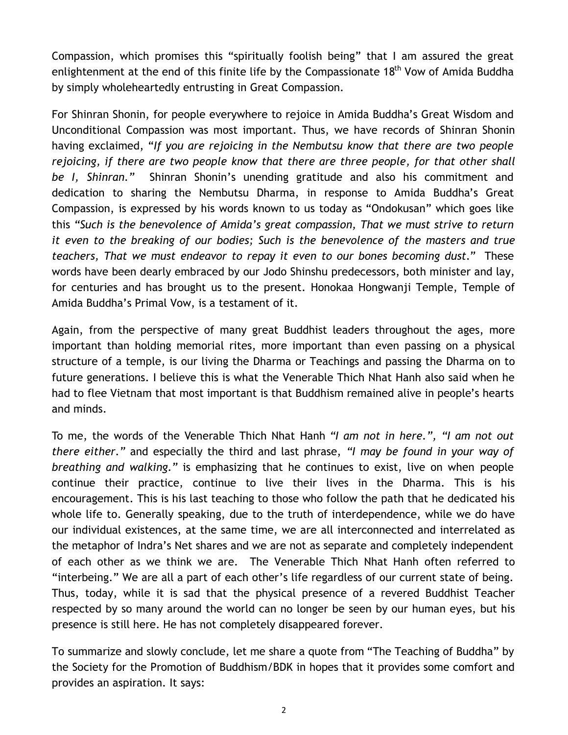Compassion, which promises this "spiritually foolish being" that I am assured the great enlightenment at the end of this finite life by the Compassionate  $18<sup>th</sup>$  Vow of Amida Buddha by simply wholeheartedly entrusting in Great Compassion.

For Shinran Shonin, for people everywhere to rejoice in Amida Buddha's Great Wisdom and Unconditional Compassion was most important. Thus, we have records of Shinran Shonin having exclaimed, "*If you are rejoicing in the Nembutsu know that there are two people rejoicing, if there are two people know that there are three people, for that other shall be I, Shinran."* Shinran Shonin's unending gratitude and also his commitment and dedication to sharing the Nembutsu Dharma, in response to Amida Buddha's Great Compassion, is expressed by his words known to us today as "Ondokusan" which goes like this *"Such is the benevolence of Amida's great compassion, That we must strive to return it even to the breaking of our bodies; Such is the benevolence of the masters and true teachers, That we must endeavor to repay it even to our bones becoming dust."* These words have been dearly embraced by our Jodo Shinshu predecessors, both minister and lay, for centuries and has brought us to the present. Honokaa Hongwanji Temple, Temple of Amida Buddha's Primal Vow, is a testament of it.

Again, from the perspective of many great Buddhist leaders throughout the ages, more important than holding memorial rites, more important than even passing on a physical structure of a temple, is our living the Dharma or Teachings and passing the Dharma on to future generations. I believe this is what the Venerable Thich Nhat Hanh also said when he had to flee Vietnam that most important is that Buddhism remained alive in people's hearts and minds.

To me, the words of the Venerable Thich Nhat Hanh *"I am not in here.", "I am not out there either."* and especially the third and last phrase, *"I may be found in your way of breathing and walking."* is emphasizing that he continues to exist, live on when people continue their practice, continue to live their lives in the Dharma. This is his encouragement. This is his last teaching to those who follow the path that he dedicated his whole life to. Generally speaking, due to the truth of interdependence, while we do have our individual existences, at the same time, we are all interconnected and interrelated as the metaphor of Indra's Net shares and we are not as separate and completely independent of each other as we think we are. The Venerable Thich Nhat Hanh often referred to "interbeing." We are all a part of each other's life regardless of our current state of being. Thus, today, while it is sad that the physical presence of a revered Buddhist Teacher respected by so many around the world can no longer be seen by our human eyes, but his presence is still here. He has not completely disappeared forever.

To summarize and slowly conclude, let me share a quote from "The Teaching of Buddha" by the Society for the Promotion of Buddhism/BDK in hopes that it provides some comfort and provides an aspiration. It says: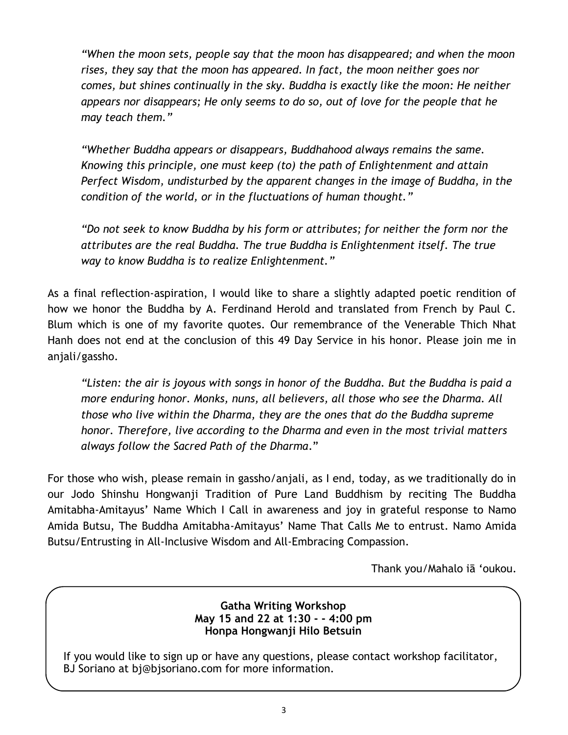*"When the moon sets, people say that the moon has disappeared; and when the moon rises, they say that the moon has appeared. In fact, the moon neither goes nor comes, but shines continually in the sky. Buddha is exactly like the moon: He neither appears nor disappears; He only seems to do so, out of love for the people that he may teach them."* 

*"Whether Buddha appears or disappears, Buddhahood always remains the same. Knowing this principle, one must keep (to) the path of Enlightenment and attain Perfect Wisdom, undisturbed by the apparent changes in the image of Buddha, in the condition of the world, or in the fluctuations of human thought."* 

*"Do not seek to know Buddha by his form or attributes; for neither the form nor the attributes are the real Buddha. The true Buddha is Enlightenment itself. The true way to know Buddha is to realize Enlightenment."* 

As a final reflection-aspiration, I would like to share a slightly adapted poetic rendition of how we honor the Buddha by A. Ferdinand Herold and translated from French by Paul C. Blum which is one of my favorite quotes. Our remembrance of the Venerable Thich Nhat Hanh does not end at the conclusion of this 49 Day Service in his honor. Please join me in anjali/gassho.

*"Listen: the air is joyous with songs in honor of the Buddha. But the Buddha is paid a more enduring honor. Monks, nuns, all believers, all those who see the Dharma. All those who live within the Dharma, they are the ones that do the Buddha supreme honor. Therefore, live according to the Dharma and even in the most trivial matters always follow the Sacred Path of the Dharma*."

For those who wish, please remain in gassho/anjali, as I end, today, as we traditionally do in our Jodo Shinshu Hongwanji Tradition of Pure Land Buddhism by reciting The Buddha Amitabha-Amitayus' Name Which I Call in awareness and joy in grateful response to Namo Amida Butsu, The Buddha Amitabha-Amitayus' Name That Calls Me to entrust. Namo Amida Butsu/Entrusting in All-Inclusive Wisdom and All-Embracing Compassion.

Thank you/Mahalo iā 'oukou.

### **Gatha Writing Workshop May 15 and 22 at 1:30 - - 4:00 pm Honpa Hongwanji Hilo Betsuin**

If you would like to sign up or have any questions, please contact workshop facilitator, BJ Soriano at bj@bjsoriano.com for more information.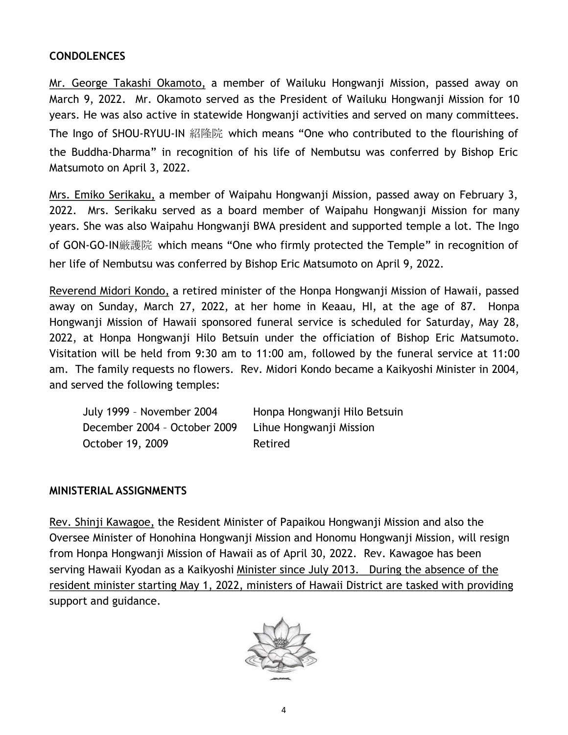## **CONDOLENCES**

Mr. George Takashi Okamoto, a member of Wailuku Hongwanji Mission, passed away on March 9, 2022. Mr. Okamoto served as the President of Wailuku Hongwanji Mission for 10 years. He was also active in statewide Hongwanji activities and served on many committees. The Ingo of SHOU-RYUU-IN 紹隆院 which means "One who contributed to the flourishing of the Buddha-Dharma" in recognition of his life of Nembutsu was conferred by Bishop Eric Matsumoto on April 3, 2022.

Mrs. Emiko Serikaku, a member of Waipahu Hongwanji Mission, passed away on February 3, 2022. Mrs. Serikaku served as a board member of Waipahu Hongwanji Mission for many years. She was also Waipahu Hongwanji BWA president and supported temple a lot. The Ingo of GON-GO-IN厳護院 which means "One who firmly protected the Temple" in recognition of her life of Nembutsu was conferred by Bishop Eric Matsumoto on April 9, 2022.

Reverend Midori Kondo, a retired minister of the Honpa Hongwanji Mission of Hawaii, passed away on Sunday, March 27, 2022, at her home in Keaau, HI, at the age of 87. Honpa Hongwanji Mission of Hawaii sponsored funeral service is scheduled for Saturday, May 28, 2022, at Honpa Hongwanji Hilo Betsuin under the officiation of Bishop Eric Matsumoto. Visitation will be held from 9:30 am to 11:00 am, followed by the funeral service at 11:00 am. The family requests no flowers. Rev. Midori Kondo became a Kaikyoshi Minister in 2004, and served the following temples:

| July 1999 - November 2004    | Honpa Hongwanji Hilo Betsuin |
|------------------------------|------------------------------|
| December 2004 - October 2009 | Lihue Hongwanji Mission      |
| October 19, 2009             | Retired                      |

## **MINISTERIAL ASSIGNMENTS**

Rev. Shinji Kawagoe, the Resident Minister of Papaikou Hongwanji Mission and also the Oversee Minister of Honohina Hongwanji Mission and Honomu Hongwanji Mission, will resign from Honpa Hongwanji Mission of Hawaii as of April 30, 2022. Rev. Kawagoe has been serving Hawaii Kyodan as a Kaikyoshi Minister since July 2013. During the absence of the resident minister starting May 1, 2022, ministers of Hawaii District are tasked with providing support and guidance.

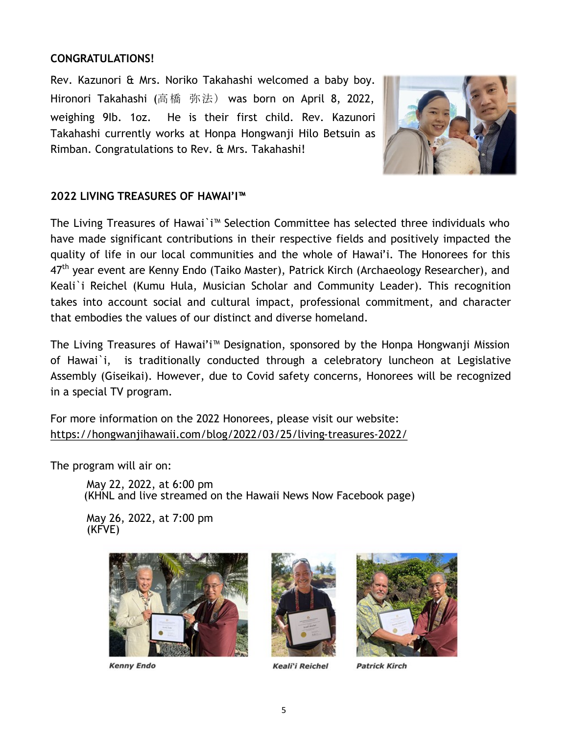### **CONGRATULATIONS!**

Rev. Kazunori & Mrs. Noriko Takahashi welcomed a baby boy. Hironori Takahashi (高橋 弥法) was born on April 8, 2022, weighing 9Ib. 1oz. He is their first child. Rev. Kazunori Takahashi currently works at Honpa Hongwanji Hilo Betsuin as Rimban. Congratulations to Rev. & Mrs. Takahashi!



## **2022 LIVING TREASURES OF HAWAI'I™**

The Living Treasures of Hawai`i™ Selection Committee has selected three individuals who have made significant contributions in their respective fields and positively impacted the quality of life in our local communities and the whole of Hawai'i. The Honorees for this 47<sup>th</sup> year event are Kenny Endo (Taiko Master), Patrick Kirch (Archaeology Researcher), and Keali`i Reichel (Kumu Hula, Musician Scholar and Community Leader). This recognition takes into account social and cultural impact, professional commitment, and character that embodies the values of our distinct and diverse homeland.

The Living Treasures of Hawai'i™ Designation, sponsored by the Honpa Hongwanji Mission of Hawai`i, is traditionally conducted through a celebratory luncheon at Legislative Assembly (Giseikai). However, due to Covid safety concerns, Honorees will be recognized in a special TV program.

For more information on the 2022 Honorees, please visit our website: [https://hongwanjihawaii.com/blog/2022/03/25/living](https://hongwanjihawaii.com/blog/2022/03/25/living-treasures-2022/)-treasures-2022/

The program will air on:

May 22, 2022, at 6:00 pm (KHNL and live streamed on the Hawaii News Now Facebook page)

May 26, 2022, at 7:00 pm (KFVE)



**Kenny Endo** 



Keali'i Reichel



**Patrick Kirch**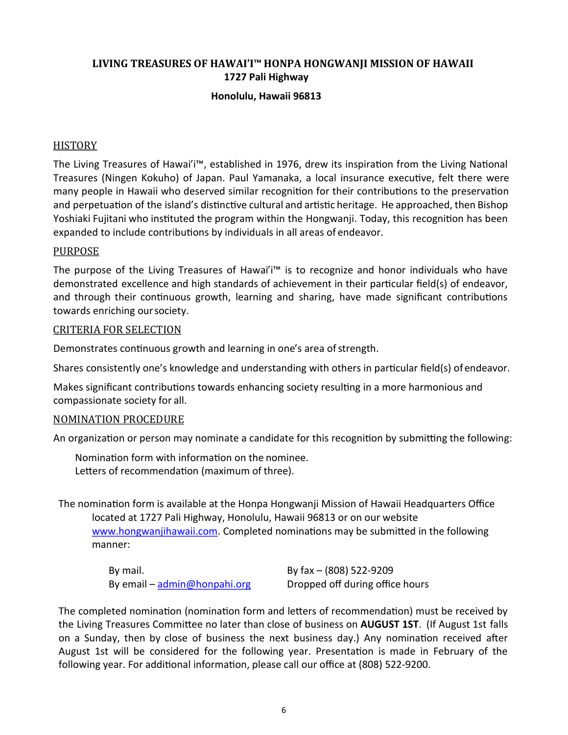## **LIVING TREASURES OF HAWAI'I™ HONPA HONGWANJI MISSION OF HAWAII 1727 Pali Highway**

#### **Honolulu, Hawaii 96813**

#### **HISTORY**

The Living Treasures of Hawai'i™, established in 1976, drew its inspiration from the Living National Treasures (Ningen Kokuho) of Japan. Paul Yamanaka, a local insurance executive, felt there were many people in Hawaii who deserved similar recognition for their contributions to the preservation and perpetuation of the island's distinctive cultural and artistic heritage. He approached, then Bishop Yoshiaki Fujitani who instituted the program within the Hongwanji. Today, this recognition has been expanded to include contributions by individuals in all areas of endeavor.

#### PURPOSE

The purpose of the Living Treasures of Hawai'i™ is to recognize and honor individuals who have demonstrated excellence and high standards of achievement in their particular field(s) of endeavor, and through their continuous growth, learning and sharing, have made significant contributions towards enriching oursociety.

#### CRITERIA FOR SELECTION

Demonstrates continuous growth and learning in one's area of strength.

Shares consistently one's knowledge and understanding with others in particular field(s) of endeavor.

Makes significant contributions towards enhancing society resulting in a more harmonious and compassionate society for all.

#### NOMINATION PROCEDURE

An organization or person may nominate a candidate for this recognition by submitting the following:

Nomination form with information on the nominee. Letters of recommendation (maximum of three).

The nomination form is available at the Honpa Hongwanji Mission of Hawaii Headquarters Office located at 1727 Pali Highway, Honolulu, Hawaii 96813 or on our website

[www.hongwanjihawaii.com. Co](http://www.hongwanjihawaii.com/)mpleted nominations may be submitted in the following manner:

By mail. By fax – (808) 522-9209 By email – [admin@honpahi.org](mailto:admin@honpahi.org) Dropped off during office hours

The completed nomination (nomination form and letters of recommendation) must be received by the Living Treasures Committee no later than close of business on **AUGUST 1ST**. (If August 1st falls on a Sunday, then by close of business the next business day.) Any nomination received after August 1st will be considered for the following year. Presentation is made in February of the following year. For additional information, please call our office at (808) 522-9200.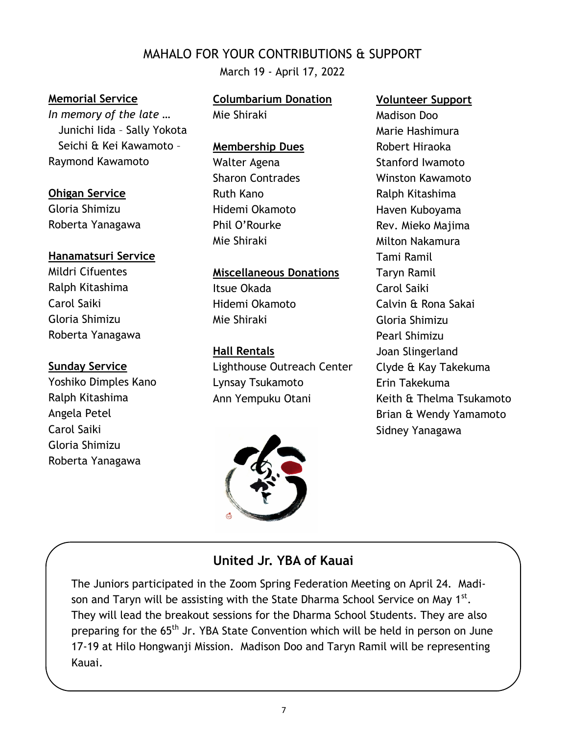# MAHALO FOR YOUR CONTRIBUTIONS & SUPPORT

March 19 - April 17, 2022

#### **Memorial Service**

*In memory of the late …* Junichi Iida – Sally Yokota Seichi & Kei Kawamoto – Raymond Kawamoto

#### **Ohigan Service**

Gloria Shimizu Roberta Yanagawa

## **Hanamatsuri Service**

Mildri Cifuentes Ralph Kitashima Carol Saiki Gloria Shimizu Roberta Yanagawa

#### **Sunday Service**

Yoshiko Dimples Kano Ralph Kitashima Angela Petel Carol Saiki Gloria Shimizu Roberta Yanagawa

# **Columbarium Donation**

Mie Shiraki

#### **Membership Dues**

Walter Agena Sharon Contrades Ruth Kano Hidemi Okamoto Phil O'Rourke Mie Shiraki

#### **Miscellaneous Donations**

Itsue Okada Hidemi Okamoto Mie Shiraki

#### **Hall Rentals**

Lighthouse Outreach Center Lynsay Tsukamoto Ann Yempuku Otani



#### **Volunteer Support**

Madison Doo Marie Hashimura Robert Hiraoka Stanford Iwamoto Winston Kawamoto Ralph Kitashima Haven Kuboyama Rev. Mieko Majima Milton Nakamura Tami Ramil Taryn Ramil Carol Saiki Calvin & Rona Sakai Gloria Shimizu Pearl Shimizu Joan Slingerland Clyde & Kay Takekuma Erin Takekuma Keith & Thelma Tsukamoto Brian & Wendy Yamamoto Sidney Yanagawa

## **United Jr. YBA of Kauai**

The Juniors participated in the Zoom Spring Federation Meeting on April 24. Madison and Taryn will be assisting with the State Dharma School Service on May 1 $^{\rm st}$ . They will lead the breakout sessions for the Dharma School Students. They are also preparing for the 65<sup>th</sup> Jr. YBA State Convention which will be held in person on June 17-19 at Hilo Hongwanji Mission. Madison Doo and Taryn Ramil will be representing Kauai.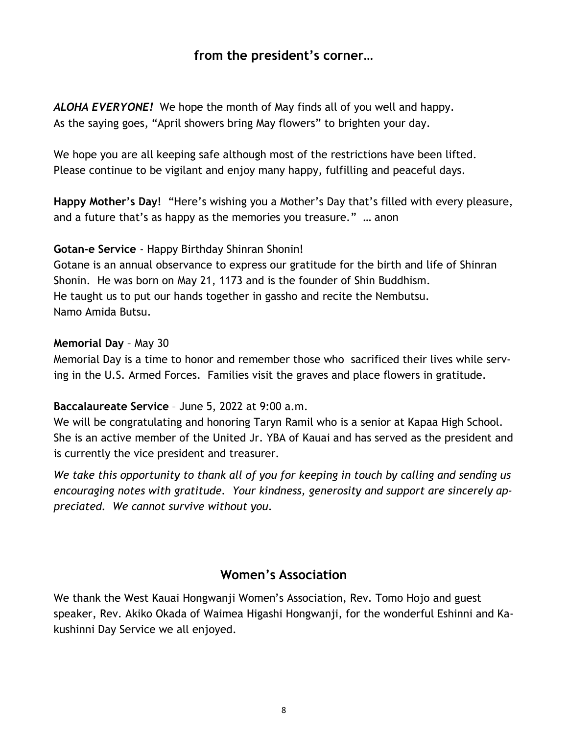# **from the president's corner…**

*ALOHA EVERYONE!* We hope the month of May finds all of you well and happy. As the saying goes, "April showers bring May flowers" to brighten your day.

We hope you are all keeping safe although most of the restrictions have been lifted. Please continue to be vigilant and enjoy many happy, fulfilling and peaceful days.

**Happy Mother's Day!** "Here's wishing you a Mother's Day that's filled with every pleasure, and a future that's as happy as the memories you treasure." … anon

## **Gotan-e Service** - Happy Birthday Shinran Shonin!

Gotane is an annual observance to express our gratitude for the birth and life of Shinran Shonin. He was born on May 21, 1173 and is the founder of Shin Buddhism. He taught us to put our hands together in gassho and recite the Nembutsu. Namo Amida Butsu.

### **Memorial Day** – May 30

Memorial Day is a time to honor and remember those who sacrificed their lives while serving in the U.S. Armed Forces. Families visit the graves and place flowers in gratitude.

## **Baccalaureate Service** – June 5, 2022 at 9:00 a.m.

We will be congratulating and honoring Taryn Ramil who is a senior at Kapaa High School. She is an active member of the United Jr. YBA of Kauai and has served as the president and is currently the vice president and treasurer.

*We take this opportunity to thank all of you for keeping in touch by calling and sending us encouraging notes with gratitude. Your kindness, generosity and support are sincerely appreciated. We cannot survive without you.*

## **Women's Association**

We thank the West Kauai Hongwanji Women's Association, Rev. Tomo Hojo and guest speaker, Rev. Akiko Okada of Waimea Higashi Hongwanji, for the wonderful Eshinni and Kakushinni Day Service we all enjoyed.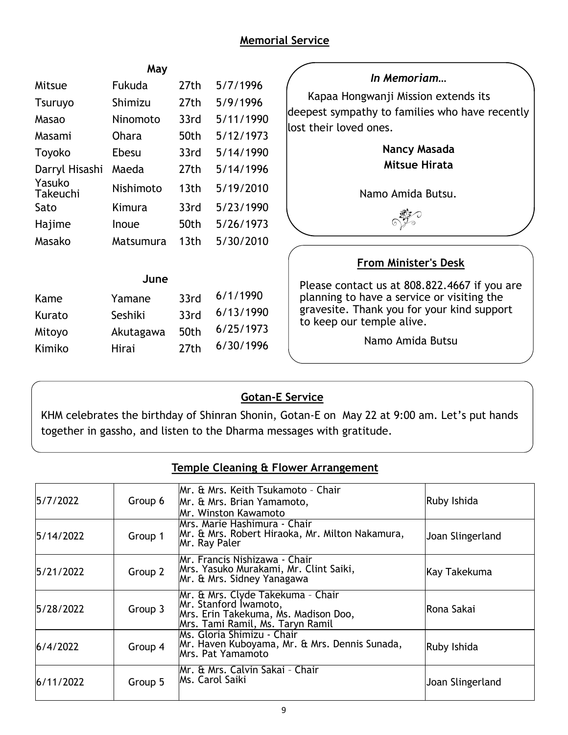## **Memorial Service**

|                    | May          |                  |                                              |                                                                                       |  |
|--------------------|--------------|------------------|----------------------------------------------|---------------------------------------------------------------------------------------|--|
| Mitsue             | Fukuda       | 27th             | 5/7/1996                                     | In Memoriam                                                                           |  |
| <b>Tsuruyo</b>     | Shimizu      | 27th             | 5/9/1996                                     | Kapaa Hongwanji Mission extends its<br>deepest sympathy to families who have recently |  |
| Masao              | Ninomoto     | 33rd             | 5/11/1990                                    |                                                                                       |  |
| Masami             | Ohara        | 50th             | 5/12/1973                                    | lost their loved ones.                                                                |  |
| Toyoko             | Ebesu        | 33rd             | 5/14/1990                                    | Nancy Masada<br><b>Mitsue Hirata</b>                                                  |  |
| Darryl Hisashi     | Maeda        | 27th             | 5/14/1996                                    |                                                                                       |  |
| Yasuko<br>Takeuchi | Nishimoto    | 13 <sub>th</sub> | 5/19/2010                                    | Namo Amida Butsu.                                                                     |  |
| Sato               | Kimura       | 33rd             | 5/23/1990                                    |                                                                                       |  |
| Hajime             | Inoue        | 50th             | 5/26/1973                                    |                                                                                       |  |
| Masako             | Matsumura    | 13 <sub>th</sub> | 5/30/2010                                    |                                                                                       |  |
|                    |              |                  |                                              | <b>From Minister's Desk</b>                                                           |  |
| June               |              |                  | Please contact us at 808.822.4667 if you are |                                                                                       |  |
| Kame               | Yamane       | 33rd             | 6/1/1990                                     | planning to have a service or visiting the                                            |  |
| Kurato             | Seshiki      | 33rd             | 6/13/1990                                    | gravesite. Thank you for your kind support<br>to keep our temple alive.               |  |
| Mitoyo             | Akutagawa    | 50th             | 6/25/1973                                    |                                                                                       |  |
| Kimiko             | <b>Hirai</b> | 27th             | 6/30/1996                                    | Namo Amida Butsu                                                                      |  |

# **Gotan-E Service**

KHM celebrates the birthday of Shinran Shonin, Gotan-E on May 22 at 9:00 am. Let's put hands together in gassho, and listen to the Dharma messages with gratitude.

## **Temple Cleaning & Flower Arrangement**

| 5/7/2022  | Group 6 | Mr. & Mrs. Keith Tsukamoto - Chair<br>Mr. & Mrs. Brian Yamamoto,<br>Mr. Winston Kawamoto                                               | Ruby Ishida      |
|-----------|---------|----------------------------------------------------------------------------------------------------------------------------------------|------------------|
| 5/14/2022 | Group 1 | Mrs. Marie Hashimura - Chair<br>Mr. & Mrs. Robert Hiraoka, Mr. Milton Nakamura,<br>Mr. Ray Paler                                       | Joan Slingerland |
| 5/21/2022 | Group 2 | Mr. Francis Nishizawa - Chair<br>Mrs. Yasuko Murakami, Mr. Clint Saiki,<br>Mr. & Mrs. Sidney Yanagawa                                  | Kay Takekuma     |
| 5/28/2022 | Group 3 | Mr. & Mrs. Clyde Takekuma - Chair<br>Mr. Stanford Iwamoto,<br>Mrs. Erin Takekuma, Ms. Madison Doo,<br>Mrs. Tami Ramil, Ms. Taryn Ramil | Rona Sakai       |
| 6/4/2022  | Group 4 | Ms. Gloria Shimizu - Chair<br>Mr. Haven Kuboyama, Mr. & Mrs. Dennis Sunada,<br>Mrs. Pat Yamamoto                                       | Ruby Ishida      |
| 6/11/2022 | Group 5 | Mr. & Mrs. Calvin Sakai - Chair<br>Ms. Carol Saiki                                                                                     | Joan Slingerland |